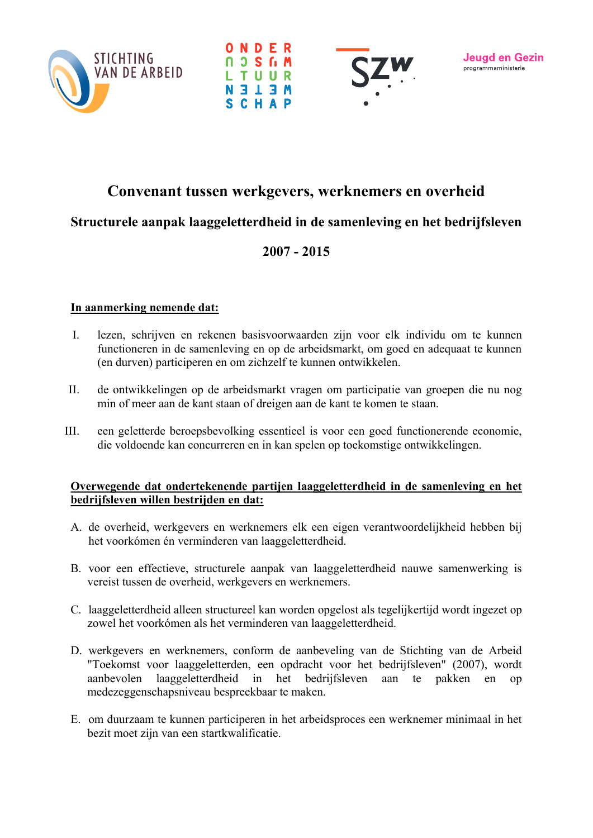





# Convenant tussen werkgevers, werknemers en overheid

# Structurele aanpak laaggeletterdheid in de samenleving en het bedrijfsleven

## $2007 - 2015$

### In aanmerking nemende dat:

- lezen, schrijven en rekenen basisvoorwaarden zijn voor elk individu om te kunnen  $\mathbf{I}$ functioneren in de samenleving en op de arbeidsmarkt, om goed en adequaat te kunnen (en durven) participeren en om zichzelf te kunnen ontwikkelen.
- $II.$ de ontwikkelingen op de arbeidsmarkt vragen om participatie van groepen die nu nog min of meer aan de kant staan of dreigen aan de kant te komen te staan.
- $III.$ een geletterde beroepsbevolking essentieel is voor een goed functionerende economie. die voldoende kan concurreren en in kan spelen op toekomstige ontwikkelingen.

#### Overwegende dat ondertekenende partijen laaggeletterdheid in de samenleving en het bedrijfsleven willen bestrijden en dat:

- A. de overheid, werkgevers en werknemers elk een eigen verantwoordelijkheid hebben bij het voorkómen én verminderen van laaggeletterdheid.
- B. voor een effectieve, structurele aanpak van laaggeletterdheid nauwe samenwerking is vereist tussen de overheid, werkgevers en werknemers.
- C. laaggeletterdheid alleen structureel kan worden opgelost als tegelijkertijd wordt ingezet op zowel het voorkómen als het verminderen van laaggeletterdheid.
- D. werkgevers en werknemers, conform de aanbeveling van de Stichting van de Arbeid "Toekomst voor laaggeletterden, een opdracht voor het bedrijfsleven" (2007), wordt laaggeletterdheid in het bedrijfsleven aanbevolen aan te pakken en  $op$ medezeggenschapsniveau bespreekbaar te maken.
- E. om duurzaam te kunnen participeren in het arbeidsproces een werknemer minimaal in het bezit moet zijn van een startkwalificatie.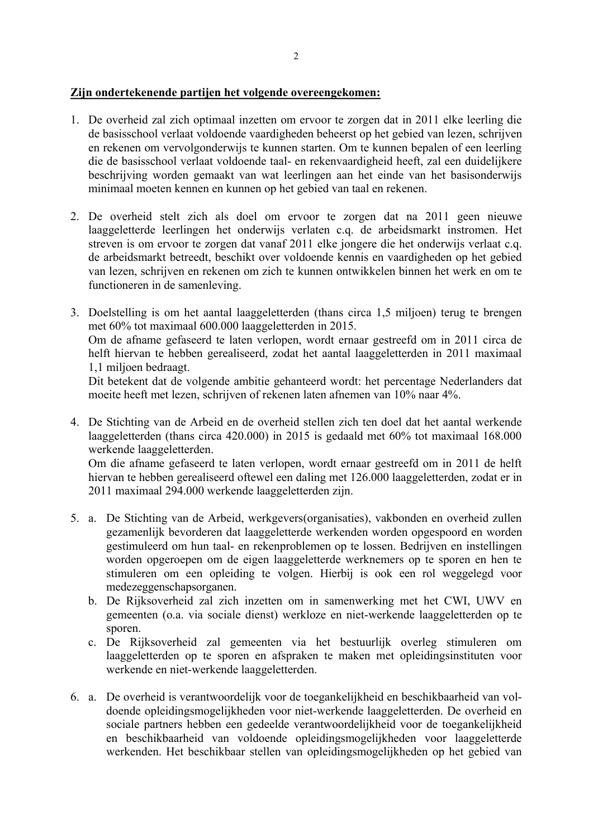### Zijn ondertekenende partijen het volgende overeengekomen:

- 1. De overheid zal zich optimaal inzetten om ervoor te zorgen dat in 2011 elke leerling die de basisschool verlaat voldoende vaardigheden beheerst op het gebied van lezen, schrijven en rekenen om vervolgonderwijs te kunnen starten. Om te kunnen bepalen of een leerling die de basisschool verlaat voldoende taal- en rekenvaardigheid heeft, zal een duidelijkere beschrijving worden gemaakt van wat leerlingen aan het einde van het basisonderwijs minimaal moeten kennen en kunnen op het gebied van taal en rekenen.
- 2. De overheid stelt zich als doel om ervoor te zorgen dat na 2011 geen nieuwe laaggeletterde leerlingen het onderwijs verlaten c.q. de arbeidsmarkt instromen. Het streven is om ervoor te zorgen dat vanaf 2011 elke jongere die het onderwijs verlaat c.q. de arbeidsmarkt betreedt, beschikt over voldoende kennis en vaardigheden op het gebied van lezen, schrijven en rekenen om zich te kunnen ontwikkelen binnen het werk en om te functioneren in de samenleving.
- 3. Doelstelling is om het aantal laaggeletterden (thans circa 1.5 miljoen) terug te brengen met 60% tot maximaal 600.000 laaggeletterden in 2015. Om de afname gefaseerd te laten verlopen, wordt ernaar gestreefd om in 2011 circa de helft hiervan te hebben gerealiseerd, zodat het aantal laaggeletterden in 2011 maximaal 1.1 milioen bedraagt.

Dit betekent dat de volgende ambitie gehanteerd wordt: het percentage Nederlanders dat moeite heeft met lezen, schrijven of rekenen laten afnemen van 10% naar 4%.

4. De Stichting van de Arbeid en de overheid stellen zich ten doel dat het aantal werkende laaggeletterden (thans circa 420.000) in 2015 is gedaald met 60% tot maximaal 168.000 werkende laaggeletterden.

Om die afname gefaseerd te laten verlopen, wordt ernaar gestreefd om in 2011 de helft hiervan te hebben gerealiseerd oftewel een daling met 126.000 laaggeletterden, zodat er in 2011 maximaal 294.000 werkende laaggeletterden zijn.

- 5. a. De Stichting van de Arbeid, werkgevers(organisaties), vakbonden en overheid zullen gezamenlijk bevorderen dat laaggeletterde werkenden worden opgespoord en worden gestimuleerd om hun taal- en rekenproblemen op te lossen. Bedrijven en instellingen worden opgeroepen om de eigen laaggeletterde werknemers op te sporen en hen te stimuleren om een opleiding te volgen. Hierbij is ook een rol weggelegd voor medezeggenschapsorganen.
	- b. De Rijksoverheid zal zich inzetten om in samenwerking met het CWI, UWV en gemeenten (o.a. via sociale dienst) werkloze en niet-werkende laaggeletterden op te sporen.
	- c. De Rijksoverheid zal gemeenten via het bestuurlijk overleg stimuleren om laaggeletterden op te sporen en afspraken te maken met opleidingsinstituten voor werkende en niet-werkende laaggeletterden.
- 6. a. De overheid is verantwoordelijk voor de toegankelijkheid en beschikbaarheid van voldoende opleidingsmogelijkheden voor niet-werkende laaggeletterden. De overheid en sociale partners hebben een gedeelde verantwoordelijkheid voor de toegankelijkheid en beschikbaarheid van voldoende opleidingsmogelijkheden voor laaggeletterde werkenden. Het beschikbaar stellen van opleidingsmogelijkheden op het gebied van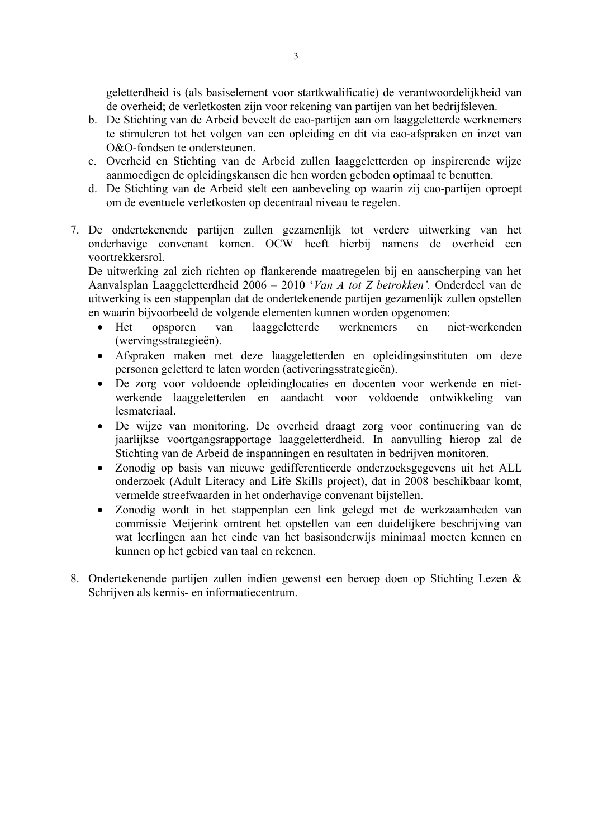geletterdheid is (als basiselement voor startkwalificatie) de verantwoordelijkheid van de overheid; de verletkosten zijn voor rekening van partijen van het bedrijfsleven.

- b. De Stichting van de Arbeid beveelt de cao-partijen aan om laaggeletterde werknemers te stimuleren tot het volgen van een opleiding en dit via cao-afspraken en inzet van O&O-fondsen te ondersteunen.
- c. Overheid en Stichting van de Arbeid zullen laaggeletterden op inspirerende wijze aanmoedigen de opleidingskansen die hen worden geboden optimaal te benutten.
- d. De Stichting van de Arbeid stelt een aanbeveling op waarin zij cao-partijen oproept om de eventuele verletkosten op decentraal niveau te regelen.
- 7. De ondertekenende partijen zullen gezamenlijk tot verdere uitwerking van het onderhavige convenant komen. OCW heeft hierbij namens de overheid een voortrekkersrol

De uitwerking zal zich richten op flankerende maatregelen bij en aanscherping van het Aanvalsplan Laaggeletterdheid 2006 - 2010 'Van A tot Z betrokken'. Onderdeel van de uitwerking is een stappenplan dat de ondertekenende partijen gezamenlijk zullen opstellen en waarin bijvoorbeeld de volgende elementen kunnen worden opgenomen:

- laaggeletterde werknemers Het opsporen van en niet-werkenden  $\bullet$ (wervingsstrategieën).
- Afspraken maken met deze laaggeletterden en opleidingsinstituten om deze personen geletterd te laten worden (activeringsstrategieën).
- De zorg voor voldoende opleidinglocaties en docenten voor werkende en niet- $\bullet$ werkende laaggeletterden en aandacht voor voldoende ontwikkeling van lesmateriaal
- De wijze van monitoring. De overheid draagt zorg voor continuering van de  $\bullet$ jaarlijkse voortgangsrapportage laaggeletterdheid. In aanvulling hierop zal de Stichting van de Arbeid de inspanningen en resultaten in bedrijven monitoren.
- Zonodig op basis van nieuwe gedifferentieerde onderzoeksgegevens uit het ALL  $\bullet$ onderzoek (Adult Literacy and Life Skills project), dat in 2008 beschikbaar komt, vermelde streefwaarden in het onderhavige convenant bijstellen.
- Zonodig wordt in het stappenplan een link gelegd met de werkzaamheden van  $\bullet$ commissie Meijerink omtrent het opstellen van een duidelijkere beschrijving van wat leerlingen aan het einde van het basisonderwijs minimaal moeten kennen en kunnen op het gebied van taal en rekenen.
- 8. Ondertekenende partijen zullen indien gewenst een beroep doen op Stichting Lezen & Schrijven als kennis- en informatiecentrum.